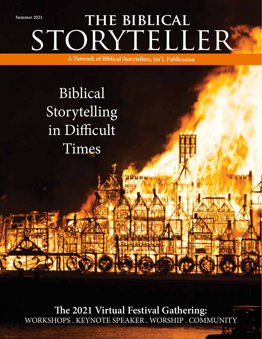STORYTELLER **the biblical Summer 2021** 

**A Network of Biblical Storytellers, Int'l. Publication**

# Biblical Storytelling in Difficult Times

**The 2021 Virtual Festival Gathering:** WORKSHOPS . KEYNOTE SPEAKER . WORSHIP . COMMUNITY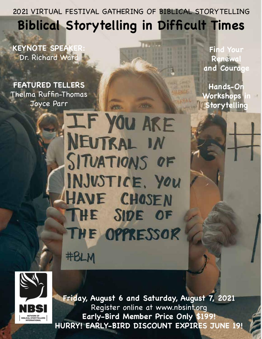2021 VIRTUAL FESTIVAL GATHERING OF BIBLICAL STORYTELLING **Biblical Storytelling in Difficult Times**

**KEYNOTE SPEAK** Dr. Richard Ward

**FEATURED TELLERS** Thelma Ruffin-Thomas Joyce Parr

**Find Your Renewal and Courage**

**Hands-On Workshops Storytelling**

IF YOU ARE NEUTRAL IN SITUATIONS OF INJUSTICE, YOU HAVE CHOSEN THE SIDE OF THE OPPRESSOR **#BLM** 



**Friday, August 6 and Saturday, August 7, 2021**  Register online at www.nbsint.org **Early-Bird Member Price Only \$199! HURRY! EARLY-BIRD DISCOUNT EXPIRES JUNE 19!**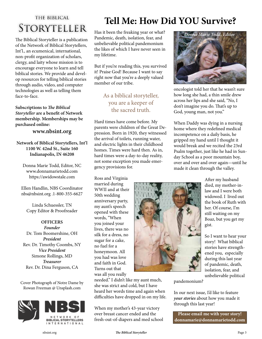# THE BIBLICAL STORYTELLER

The Biblical Storyteller is a publication of the Network of Biblical Storytellers, Int'l., an ecumenical, international, non-profit organization of scholars, clergy, and laity whose mission is to encourage everyone to learn and tell biblical stories. We provide and develop resources for telling biblical stories through audio, video, and computer technologies as well as telling them face-to-face.

**Subscriptions to** *The Biblical Storyteller* **are a benefit of Network membership. Memberships may be purchased online:** 

### **www.nbsint.org**

**Network of Biblical Storytellers, Int'l 1100 W. 42nd St., Suite 160 Indianapolis, IN 46208**

Donna Marie Todd, Editor, NC www.donnamarietodd.com https://awidowstale.com

Ellen Handlin, NBS Coordinator nbs@nbsint.org .1-800-355-6627

Linda Schuessler, TN Copy Editor & Proofreader

**OFFICERS** *Founder* Dr. Tom Boomershine, OH *President* Rev. Dr. Timothy Coombs, NY *Vice President* Simone Rollings, MD *Treasurer* Rev. Dr. Dina Ferguson, CA

Cover Photograph of Notre Dame by Rowan Freeman @ Unsplash.com





# **Tell Me: How Did YOU Survive?**

Has it been the freaking year or what? Pandemic, death, isolation, fear, and unbelievable political pandemonium the likes of which I have never seen in my lifetime.

But if you're reading this, you survived it! Praise God! Because I want to say right now that you're a deeply valued member of our tribe.

### As a biblical storyteller, you are a keeper of the sacred truth.

Hard times have come before. My parents were children of the Great Depression. Born in 1920, they witnessed the arrival of toilets, running water, and electric lights in their childhood homes. Times were hard then. As in, hard times were a day-to-day reality, not some exception you made emergency provisions for.

Ross and Virginia married during WWII and at their 50th wedding anniversary party, my aunt's speech opened with these words, "When you joined your lives, there was no silk for a dress, no sugar for a cake, no fuel for a honeymoon. All you had was love and faith in God. Turns out that was all you really

needed." I didn't like my aunt much, she was strict and cold, but I have heard her words time and again when difficulties have dropped in on my life.

When my mother's 43-year victory over breast cancer ended and the fresh-out-of-diapers and med school



oncologist told her that he wasn't sure how long she had, a thin smile drew across her lips and she said, "No, I don't imagine you do. That's up to God, young man, not you."

When Daddy was dying in a nursing home where they redefined medical incompetence on a daily basis, he gripped my hand until I thought it would break and we recited the 23rd Psalm together, just like he had in Sunday School as a poor mountain boy, over and over and over again—until he made it clean through the valley.



After my husband died, my mother-inlaw and I were both widowed. I lived out the book of Ruth with her. Of course, I'm still waiting on my Boaz, but you get my gist.

So I want to hear your story! What biblical stories have strengthened you, especially during this last year of pandemic, death, isolation, fear, and unbelievable political

pandemonium?

In our next issue, I'd like to feature *your stories* about how you made it through this last year!

**Please email me with your story! donnamarie@donnamarietodd.com**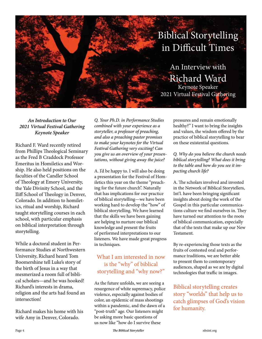

*An Introduction to Our 2021 Virtual Festival Gathering Keynote Speaker*

Richard F. Ward recently retired from Phillips Theological Seminary as the Fred B Craddock Professor Emeritus in Homiletics and Worship. He also held positions on the faculties of the Candler School of Theology at Emory University, the Yale Divinity School, and the Iliff School of Theology in Denver, Colorado. In addition to homiletics, ritual and worship, Richard taught storytelling courses in each school, with particular emphasis on biblical interpretation through storytelling.

While a doctoral student in Performance Studies at Northwestern University, Richard heard Tom Boomershine tell Luke's story of the birth of Jesus in a way that mesmerized a room full of biblical scholars—and he was hooked! Richard's interests in drama, religion and the arts had found an intersection!

Richard makes his home with his wife Amy in Denver, Colorado.

*Q. Your Ph.D. in Performance Studies combined with your experience as a storyteller, a professor of preaching, and also a preaching pastor promises to make your keynotes for the Virtual Festival Gathering very exciting! Can you give us an overview of your presentations, without giving away the juice?*

A. I'd be happy to. I will also be doing a presentation for the Festival of Homiletics this year on the theme "preaching for the future church". Naturally that has implications for our practice of biblical storytelling—we have been working hard to develop the "how" of biblical storytelling. We have learned that the skills we have been gaining are helping to nurture our biblical knowledge and present the fruits of performed interpretations to our listeners. We have made great progress in techniques.

### What I am interested in now is the "why" of biblical storytelling and "why now?"

As the future unfolds, we are seeing a resurgence of white supremacy, police violence, especially against bodies of color, an epidemic of mass shootings within a pandemic, and the dawn of a "post-truth" age. Our listeners might be asking more basic questions of us now like "how do I survive these

pressures and remain emotionally healthy?" I want to bring the insights and values, the wisdom offered by the practice of biblical storytelling to bear on these existential questions.

*Q. Why do you believe the church needs biblical storytelling? What does it bring to the table and how do you see it impacting church life?* 

A. The scholars involved and invested in the Network of Biblical Storytellers, Int'l. have been bringing significant insights about doing the work of the Gospel in this particular communications culture we find ourselves in. They have turned our attention to the roots of biblical communication, especially that of the texts that make up our New Testament.

By re-experiencing those texts as the fruits of contested oral and performance traditions, we are better able to present them to contemporary audiences, shaped as we are by digital technologies that traffic in images.

## Biblical storytelling creates story "worlds" that help us to catch glimpses of God's vision for humanity.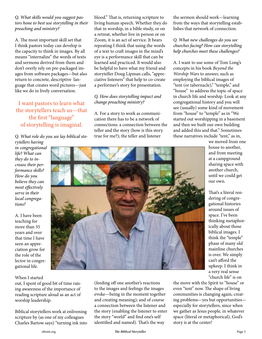### *Q. What skills would you suggest pastors hone to best use storytelling in their preaching and ministry?*

A. The most important skill set that I think pastors today can develop is the capacity to think in images. By all means "internalize" the words of texts and sermons derived from them and don't overly rely on pre-packaged images from software packages—but also return to concrete, descriptive language that creates word pictures—just like we do in lively conversation.

## I want pastors to learn what the storytellers teach us—that the first "language" of storytelling is imaginal.

*Q. What role do you see lay biblical storytellers having* 

*in congregational life? What can they do to increase their performance skills? How do you believe they can most effectively serve in their local congregations?*

A. I have been teaching for more than 35 years and over that time I have seen an appreciation grow for the role of the lector in congregational life.

#### When I started

out, I spent of good bit of time raising awareness of the importance of reading scripture aloud as an act of worship leadership.

Biblical storytellers work at enlivening scripture by (as one of my colleagues Charles Bartow says) "turning ink into blood." That is, returning scripture to living human speech. Whether they do that in worship, in a bible study, or on a retreat, whether live in person or on Zoom, it is an act of service. It bears repeating I think that using the words of a text to craft images in the mind's eye is a performance skill that can be learned and practiced. It would also be helpful to have what my friend and storyteller Doug Lipman calls, "appreciative listeners" that help to co-create a performer's story for presentation.

### *Q. How does storytelling impact and change preaching ministry?*

A. For a story to work as communication there has to be a network of connections: a connection between the teller and the story (how is this story true for me?); the teller and listener

the sermon should work—learning from the ways that storytelling establishes that network of connection.

#### *Q. What new challenges do you see churches facing? How can storytelling help churches meet these challenges?*

A. I want to use some of Tom Long's concepts in his book *Beyond the Worship Wars* to answer, such as employing the biblical images of "tent (or tabernacle)," "temple," and "house" to address the topic of space in church life and worship. Look at any congregational history and you will see (usually) some kind of movement from "house" to "temple" as in "We started out worshipping in a basement and then we built our own building and added this and that." Sometimes these narratives include "tent," as in,

we moved from one house to another, and from meeting at a campground sharing space with another church, until we could get our own.

That's a literal rendering of congregational histories around issues of space. I've been thinking metaphorically about those biblical images. I think the "temple" phase of many old mainline churches is over. We simply can't afford the upkeep. I think in a very real sense "church life" is on

the move with the Spirit to "house" or even "tent" now. The shape of living communities is changing again, creating problems—yes but opportunities especially for storytellers, since when we gather as Jesus people, in whatever space (literal or metaphorical), God's story is at the center!



(feeding off one another's reactions to the images and feelings the images evoke—being in the moment together and creating meaning); and of course a connection between the listener and the story (enabling the listener to enter the story "world" and find one's self identified and named). That's the way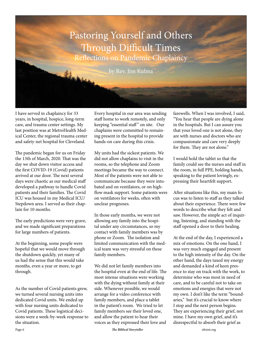

I have served in chaplaincy for 33 years, in hospital, hospice, long-term care, and trauma center settings. My last position was at MetroHealth Medical Center, the regional trauma center and safety-net hospital for Cleveland.

The pandemic began for us on Friday the 13th of March, 2020. That was the day we shut down visitor access and the first COVID-19 (Covid) patients arrived at our door. The next several days were chaotic as our medical staff developed a pathway to handle Covid patients and their families. The Covid ICU was housed in my Medical ICU/ Stepdown area. I served as their chaplain for 10 months.

The early predictions were very grave, and we made significant preparations for large numbers of patients.

At the beginning, some people were hopeful that we would move through the shutdown quickly, yet many of us had the sense that this would take months, even a year or more, to get through.

As the number of Covid patients grew, we turned several nursing units into dedicated Covid units. We ended up with four nursing units dedicated to Covid patients. These logistical decisions were a week-by-week response to the situation.

Every hospital in our area was sending staff home to work remotely, and only keeping "essential staff" on site. Our chaplains were committed to remaining present in the hospital to provide hands-on care during this crisis.

My units had the sickest patients. We did not allow chaplains to visit in the rooms, so the telephone and Zoom meetings became the way to connect. Most of the patients were not able to communicate because they were intubated and on ventilators, or on highflow mask support. Some patients were on ventilators for weeks, often with unclear prognoses.

In those early months, we were not allowing any family into the hospital under any circumstances, so my contact with family members was by phone or Zoom. The isolation and limited communication with the medical team was very stressful on these family members.

We did not let family members into the hospital even at the end of life. The most intense situations were working with the dying without family at their side. Whenever possible, we would arrange for a video conference with family members, and place a tablet in the patient's room. We tried to let family members see their loved one, and allow the patient to hear their voices as they expressed their love and farewells. When I was involved, I said, "You hear that people are dying alone in the hospitals. But I can assure you that your loved one is not alone, they are with nurses and doctors who are compassionate and care very deeply for them. They are not alone."

I would hold the tablet so that the family could see the nurses and staff in the room, in full PPE, holding hands, speaking to the patient lovingly, expressing their heartfelt support.

After situations like this, my main focus was to listen to staff as they talked about their experience. There were few words to describe what they felt and saw. However, the simple act of inquiring, listening, and standing with the staff opened a door to their healing.

At the end of the day, I experienced a mix of emotions. On the one hand, I was very much engaged and present to the high intensity of the day. On the other hand, the days taxed my energy and demanded a kind of keen presence to stay on track with the work, to determine who was most in need of care, and to be careful not to take on emotions and energies that were not my own. I don't like the term "boundaries," but it's crucial to know where I stop and the next person begins. They are experiencing their grief, not mine. I have my own grief, and it's disrespectful to absorb their grief as

Page 6 *The Biblical Storyteller* nbsint.org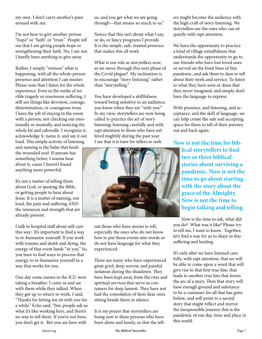my own. I don't carry another's pain around with me.

I'm not here to give another person "hope" or "faith" or "trust." People tell me that I am giving people hope or strengthening their faith. No, I am not. I hardly have anything to give away.

Rather, I simply "witness" what is happening, with all the whole-person presence and attention I can muster. Please note that I listen for the whole experience. Even in the midst of terrible tragedy or enormous suffering, I still see things like devotion, courage, determination, or courageous trust. I have the job of staying in the room with a person, not checking out emotionally or mentally, and noticing the whole kit and caboodle. I recognize it, acknowledge it, name it, and say it out loud. This simple activity of listening and naming is the balm that heals the wounded soul. If anyone has something better, I wanna hear about it, cause I haven't found anything more powerful.

It's not a matter of telling them about God, or quoting the Bible, or getting people to hear about Jesus. It is a matter of naming, out loud, the pain and suffering AND the resources and strength that are already present.

I talk to hospital staff about self-care this way: It's important to find a way to re-humanize yourself. If you work with trauma and death and dying, the energy of that event lands "in you." So, you have to find ways to process that energy, to re-humanize yourself in a way that works for you.

One day some nurses in the ICU were taking a breather. I came in and sat with them while they talked. When they got up to return to work, I said, "Thanks for letting me sit with you for a while." Echo said, "Jim, people ask us what it's like working here, and there's no way to tell them. If you're not here, you don't get it. But you are here with

us, and you get what we are going through—that means so much to us."

Notice that this isn't about what I say, or do, or fancy programs I provide. It is the simple, safe, trusted presence that makes this all work.

What is our role as storytellers now, as we move through this next phase of the Covid plague? My inclination is to encourage "story-listening" rather than "storytelling."

You have developed a skillfulness toward being sensitive to an audience; you know when they are "with you." In my view, storytellers are now being called to practice the art of storylistening; listening carefully and with rapt attention to those who have suffered mightily during the past year. I see that it is time for tellers to seek



out those who have stories to tell, especially the ones who do not know how to put those events into words or do not have language for what they experienced.

There are many who have experienced great grief, deep sorrow, and painful isolation during the shutdown. They have been kept away from the rites and spiritual services that serve as containers for deep lament. They have not had the consolation of their dear ones sitting beside them in silence.

It is my prayer that storytellers are being sent to these persons who have been alone and lonely, so that the tellers might become the audience with the high craft of story-listening. We storytellers are the ones who can sit quietly with rapt attention.

We have the opportunity to practice a kind of village mindfulness that understands the opportunity to go to our friends who have lost loved ones or served on the front lines of this pandemic, and ask them to dare to tell about their work and service. To listen to what they have seen or done that they never imagined, and simply don't have the language to express.

With presence, and listening, and acceptance, and the skill of language, we can help create the safe and accepting space for them to tell of their journey out and back again.

**Now is not the time for biblical storytellers to find two or three biblical stories about surviving a pandemic. Now is not the time to go about starting with the story about the grace of the Almighty. Now is not the time to begin talking and telling.** 

Now is the time to ask, what did you do? What was it like? Please try to tell me, I want to know. Together, let's find a way for us to share in this suffering and healing.

It's only after we have listened carefully, with rapt attention, that we will be able to come upon a word that will give rise to that first true line, that leads to another true line that forms the arc of a story. Then that story will have enough ground and substance to be a container for all that has gone before, and will point to a sacred story that might reflect and mirror the inexpressible journey that is the pandemic of our day, time and place in this world.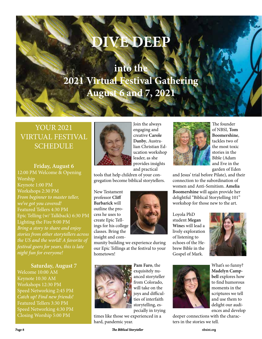# **DIVE DEEP**

# **into the 2021 Virtual Festival Gathering August 6 and 7, 2021**

## YOUR 2021 VIRTUAL FESTIVAL SCHEDULE

**Friday, August 6** 12:00 PM Welcome & Opening Worship Keynote 1:00 PM Workshops 2:30 PM *From beginner to master teller, we've got you covered!* Featured Tellers 4:30 PM Epic Telling (w/ Talkback) 6:30 PM Lighting the Fire 9:00 PM *Bring a story to share and enjoy stories from other storytellers across the US and the world! A favorite of festival goers for years, this is late night fun for everyone!*

### **Saturday, August 7**

Welcome 10:00 AM Keynote 10:30 AM Workshops 12:30 PM Speed Networking 2:45 PM *Catch up! Find new friends!* Featured Tellers 3:30 PM Speed Networking 4:30 PM Closing Worship 5:00 PM



Join the always engaging and creative **Carole Danby**, Australian Christian Education workshop leader, as she provides insights and practical

tools that help children of your congregation become biblical storytellers.

New Testament professor **Cliff Barbarick** will outline the process he uses to create Epic Tellings for his college classes. Bring the insight and com-



munity building we experience during our Epic Tellings at the festival to your hometown!



exquisitely nuanced storyteller from Colorado, will take on the joys and difficulties of interfaith storytelling, especially in trying

**Pam Faro**, the

times like those we experienced in a hard, pandemic year.



The founder of NBSI, **Tom Boomershine**, tackles two of the most toxic stories in the Bible (Adam and Eve in the garden of Eden

and Jesus' trial before Pilate), and their connection to the subordination of women and Anti-Semitism. **Amelia Boomershine** will again provide her delightful "Biblical Storytelling 101" workshop for those new to the art.

Loyola PhD student **Megan Wine**s will lead a lively exploration of listening to echoes of the Hebrew Bible in the Gospel of Mark.



What's so funny? **Madelyn Campbell** explores how to find humorous moments in the scriptures we tell and use them to delight our audiences and develop

deeper connections with the characters in the stories we tell.

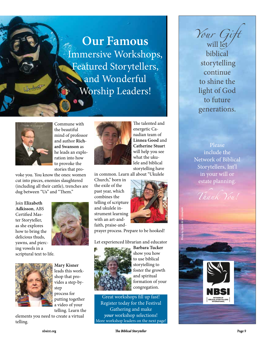# **Our Famous**  Immersive Workshops, Featured Storytellers, and Wonderful Worship Leaders!



Landon

Commune with the beautiful mind of professor and author **Richard Swanson** as he leads an exploration into how to provoke the stories that pro-

voke you. You know the ones: women cut into pieces, enemies slaughtered (including all their cattle), trenches are dug between "Us" and "Them."

Join **Elizabeth Adkisson**, ABS Certified Master Storyteller, as she explores how to bring the delicious thuds, yawns, and piercing vowels in a scriptural text to life.





**Mary Kisner** leads this workshop that provides a step-bystep process for putting together a video of your telling. Learn the

elements you need to create a virtual telling.



The talented and energetic Canadian team of **Linnea Good** and **Catherine Stuar**t will help you see what the ukulele and biblical storytelling have

in common. Learn all about "Ukulele

Church," born in the exile of the past year, which combines the telling of scripture and ukulele instrument learning with an art-andfaith, praise-and-



prayer process. Prepare to be hooked!

Let experienced librarian and educator



**Barbara Tucker** show you how to use biblical storytelling to foster the growth and spiritual formation of your congregation.

Great workshops fill up fast! Register today for the Festival Gathering and make *your* workshop selections! More workshop leaders on the next page! *Your Gift* will let biblical storytelling continue to shine the light of God to future generations.

Please include the Network of Biblical Storytellers, Int'l in your will or estate planning.

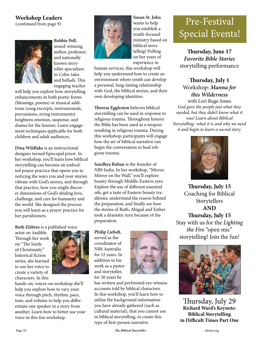## **Workshop Leaders**

(continued from page 9)



**Bobbie Pell**, award-winning author, professor, and nationally known storyteller specializes in Celtic tales and ballads. This engaging teacher

will help you explore how storytelling enhancements in both poetic forms (blessings, poems) or musical additions (song excerpts, instrumentals, percussions, string instruments) heightens emotion, suspense, and drama for the listener. Learn engagement techniques applicable for both children and adult audiences.

**Dina Wildlake** is an instructional designer turned Episcopal priest. In her workshop, you'll learn how biblical storytelling can become an embodied prayer practice that opens you to noticing the ways you and your stories vibrate with God's stories, and through that practice, how you might discover dimensions of God's abiding love, challenge, and care for humanity and the world. She designed the process you will learn as a prayer practice for her parishioners.

**Ruth Elsbree** is a published voice

artist on Audible. Through her work on "The Seeds of Christianity" historical fiction series, she learned to use her voice to create a variety of characters. In this



hands-on, voices-on workshop she'll help you explore how to vary your voice through pitch, rhythm, pace, tone, and volume to help you differentiate one speaker in a story from another. Learn how to better use your voice in this fun workshop.



**Susan St. John** wants to help you establish a youth-focused ministry based on biblical storytelling! Pulling on her years of experience in

human services, this workshop will help you understand how to create an environment where youth can develop a personal, long-lasting relationship with God, the biblical stories, and their own developing identities.

**Theresa Eggleston** believes biblical storytelling can be used in response to religious trauma. Throughout history the Bible has been used as a weapon resulting in religious trauma. During this workshop, participants will engage how the art of biblical narrative can begin the conversation to heal religious trauma.

**Sandhya Ruban** is the founder of NBS India. In her workshop, "Mirror, Mirror on the Wall," you'll explore beauty through Middle-Eastern eyes. Explore the use of different essential oils, get a taste of Eastern beauty traditions, understand the reason behind the preparation, and finally see how the stories of Ruth, Abigail and Esther took a dramatic turn because of the preparation.

**Philip Liebelt**, served as the coordinator of NBS Australia for 12 years. In addition to his work as a pastor and storyteller, for 30 years he



has written and performed eye-witness accounts told by biblical characters. In this workshop, you'll learn how to utilize the background information you have already gathered (such as cultural material), that you cannot use in biblical storytelling, to create this type of first-person narrative.

# Pre-Festival Special Events!

**Thursday, June 17**  *Favorite Bible Stories* storytelling performance

## **Thursday, July 1** Workshop: *Manna for this Wilderness*

with Lori Ruge-Jones *God gave the people just what they needed, but they didn't know what it was! Learn about Biblical Storytelling--what it is and why we need it and begin to learn a sacred story.*



**Thursday, July 15**  Coaching for Biblical Storytellers **AND Thursday, July 15** Stay with us for the *Lighting the Fire* "open mic" storytelling! Join the fun!



Thursday, July 29 **Richard Ward's Keynote: Biblical Storytelling in Difficult Times Part One**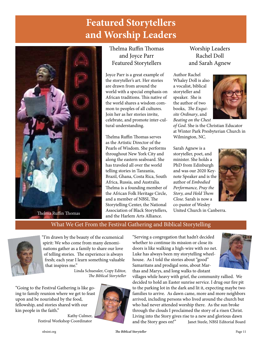# **Featured Storytellers and Worship Leaders**



## Thelma Ruffin Thomas and Joyce Parr Featured Storytellers

Joyce Parr is a great example of the storyteller's art. Her stories are drawn from around the world with a special emphasis on African traditions. This native of the world shares a wisdom common to peoples of all cultures. Join her as her stories invite, celebrate, and promote inter-cultural understanding.

Thelma Ruffin Thomas serves as the Artistic Director of the Pearls of Wisdom. She performs throughout New York City and along the eastern seaboard. She has traveled all over the world telling stories in Tanzania, Brazil, Ghana, Costa Rica, South Africa, Russia, and Australia. Thelma is a founding member of the African Folk Heritage Circle, and a member of NBSI, The Storytelling Center, the National and the Harlem Arts Alliance.

Worship Leaders Rachel Doll and Sarah Agnew

Author Rachel Whaley Doll is also a vocalist, biblical storyteller and speaker. She is the author of two books, *The Exquisite Ordinary*, and *Beating on the Chest* 



*of God*. She is the Christian Educator at Winter Park Presbyterian Church in Wilmington, NC.

Sarah Agnew is a storyteller, poet, and minister. She holds a PhD from Edinburgh and was our 2020 Keynote Speaker and is the author of *Embodied Performance, Pray the Story, and Hold Them Close*. Sarah is now a co-pastor of Wesley



### What We Get From the Festival Gathering and Biblical Storytelling



"I'm drawn by the beauty of the ecumenical spirit: We who come from many denominations gather as a family to share our love of telling stories. The experience is always fresh; each year I learn something valuable that inspires me."

> Linda Schuessler, Copy Editor, *The Biblical Storyteller*

"Going to the Festival Gathering is like going to family reunion where we get to feast upon and be nourished by the food, fellowship, and stories shared with our kin people in the faith."

Kathy Culmer, Festival Workshop Coordinator



"Serving a congregation that hadn't decided whether to continue its mission or close its doors is like walking a high-wire with no net. Luke has always been my storytelling wheelhouse. As I told the stories about "good" Samaritans and prodigal sons, about Marthas and Marys, and long walks to distant



villages while heavy with grief, the community rallied. We decided to hold an Easter sunrise service. I drug our fire pit to the parking lot in the dark and lit it, expecting maybe two families to arrive. As dawn came, more and more neighbors arrived, including persons who lived around the church but who had never attended worship there. As the sun broke through the clouds I proclaimed the story of a risen Christ. Living into the Story gives rise to a new and glorious dawn and the Story goes on!" Janet Steele, NBSI Editorial Board